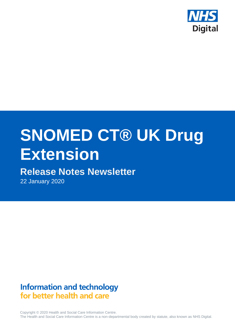

# **SNOMED CT® UK Drug Extension**

# **Release Notes Newsletter**

22 January 2020

## **Information and technology** for better health and care

Copyright © 2020 Health and Social Care Information Centre. The Health and Social Care Information Centre is a non-departmental body created by statute, also known as NHS Digital.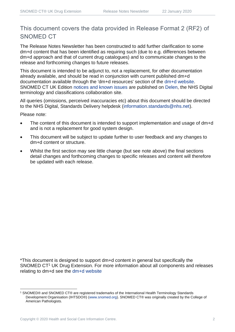## This document covers the data provided in Release Format 2 (RF2) of SNOMED CT

The Release Notes Newsletter has been constructed to add further clarification to some dm+d content that has been identified as requiring such (due to e.g. differences between dm+d approach and that of current drug catalogues) and to communicate changes to the release and forthcoming changes to future releases.

This document is intended to be adjunct to, not a replacement, for other documentation already available, and should be read in conjunction with current published dm+d documentation available through the 'dm+d resources' section of the [dm+d website.](https://www.nhsbsa.nhs.uk/pharmacies-gp-practices-and-appliance-contractors/dictionary-medicines-and-devices-dmd) SNOMED CT UK Edition [notices and known issues](https://hscic.kahootz.com/connect.ti/t_c_home/view?objectId=14224752) are published on [Delen,](https://hscic.kahootz.com/connect.ti/t_c_home) the NHS Digital terminology and classifications collaboration site.

All queries (omissions, perceived inaccuracies etc) about this document should be directed to the NHS Digital, Standards Delivery helpdesk [\(information.standards@nhs.net\)](mailto:information.standards@nhs.net).

Please note:

- The content of this document is intended to support implementation and usage of dm+d and is not a replacement for good system design.
- This document will be subject to update further to user feedback and any changes to dm+d content or structure.
- Whilst the first section may see little change (but see note above) the final sections detail changes and forthcoming changes to specific releases and content will therefore be updated with each release.

\*This document is designed to support dm+d content in general but specifically the SNOMED CT<sup>1</sup> UK Drug Extension. For more information about all components and releases relating to dm+d see the [dm+d website](https://www.nhsbsa.nhs.uk/pharmacies-gp-practices-and-appliance-contractors/dictionary-medicines-and-devices-dmd)

<sup>1</sup> SNOMED® and SNOMED CT® are registered trademarks of the International Health Terminology Standards Development Organisation (IHTSDO®) [\(www.snomed.org\)](http://www.snomed.org/). SNOMED CT® was originally created by the College of American Pathologists.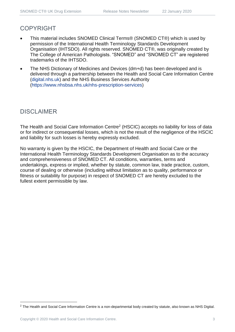#### COPYRIGHT

- This material includes SNOMED Clinical Terms® (SNOMED CT®) which is used by permission of the International Health Terminology Standards Development Organisation (IHTSDO). All rights reserved. SNOMED CT®, was originally created by The College of American Pathologists. "SNOMED" and "SNOMED CT" are registered trademarks of the IHTSDO.
- The NHS Dictionary of Medicines and Devices (dm+d) has been developed and is delivered through a partnership between the Health and Social Care Information Centre [\(digital.nhs.uk\)](https://digital.nhs.uk/) and the NHS Business Services Authority [\(https://www.nhsbsa.nhs.uk/nhs-prescription-services\)](https://www.nhsbsa.nhs.uk/nhs-prescription-services)

#### DISCLAIMER

The Health and Social Care Information Centre<sup>2</sup> (HSCIC) accepts no liability for loss of data or for indirect or consequential losses, which is not the result of the negligence of the HSCIC and liability for such losses is hereby expressly excluded.

No warranty is given by the HSCIC, the Department of Health and Social Care or the International Health Terminology Standards Development Organisation as to the accuracy and comprehensiveness of SNOMED CT. All conditions, warranties, terms and undertakings, express or implied, whether by statute, common law, trade practice, custom, course of dealing or otherwise (including without limitation as to quality, performance or fitness or suitability for purpose) in respect of SNOMED CT are hereby excluded to the fullest extent permissible by law.

<sup>&</sup>lt;sup>2</sup> The Health and Social Care Information Centre is a non-departmental body created by statute, also known as NHS Digital.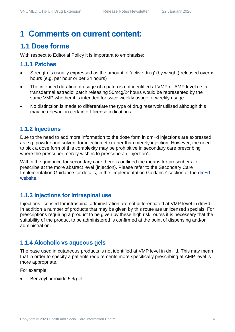# **1 Comments on current content:**

## **1.1 Dose forms**

With respect to Editorial Policy it is important to emphasise:

#### **1.1.1 Patches**

- Strength is usually expressed as the amount of 'active drug' (by weight) released over x hours (e.g. per hour or per 24 hours)
- The intended duration of usage of a patch is not identified at VMP or AMP level i.e. a transdermal estradiol patch releasing 50mcg/24hours would be represented by the same VMP whether it is intended for twice weekly usage or weekly usage
- No distinction is made to differentiate the type of drug reservoir utilised although this may be relevant in certain off-license indications.

#### **1.1.2 Injections**

Due to the need to add more information to the dose form in dm+d injections are expressed as e.g. powder and solvent for injection etc rather than merely injection. However, the need to pick a dose form of this complexity may be prohibitive in secondary care prescribing where the prescriber merely wishes to prescribe an 'injection'.

Within the guidance for secondary care there is outlined the means for prescribers to prescribe at the more abstract level (injection). Please refer to the Secondary Care Implementation Guidance for details, in the 'Implementation Guidance' section of the [dm+d](https://www.nhsbsa.nhs.uk/pharmacies-gp-practices-and-appliance-contractors/dictionary-medicines-and-devices-dmd)  [website.](https://www.nhsbsa.nhs.uk/pharmacies-gp-practices-and-appliance-contractors/dictionary-medicines-and-devices-dmd)

#### **1.1.3 Injections for intraspinal use**

Injections licensed for intraspinal administration are not differentiated at VMP level in dm+d. In addition a number of products that may be given by this route are unlicensed specials. For prescriptions requiring a product to be given by these high risk routes it is necessary that the suitability of the product to be administered is confirmed at the point of dispensing and/or administration.

#### **1.1.4 Alcoholic vs aqueous gels**

The base used in cutaneous products is not identified at VMP level in dm+d. This may mean that in order to specify a patients requirements more specifically prescribing at AMP level is more appropriate.

For example:

• Benzoyl peroxide 5% gel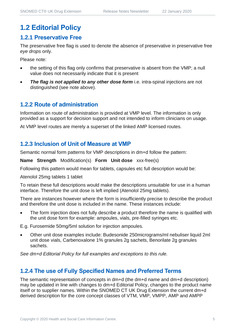## **1.2 Editorial Policy**

#### **1.2.1 Preservative Free**

The preservative free flag is used to denote the absence of preservative in preservative free *eye drops* only.

Please note:

- the setting of this flag only confirms that preservative is absent from the VMP; a null value does not necessarily indicate that it is present
- *The flag is not applied to any other dose form* i.e. intra-spinal injections are not distinguished (see note above).

#### **1.2.2 Route of administration**

Information on route of administration is provided at VMP level. The information is only provided as a support for decision support and not intended to inform clinicians on usage.

At VMP level routes are merely a superset of the linked AMP licensed routes.

#### **1.2.3 Inclusion of Unit of Measure at VMP**

Semantic normal form patterns for VMP descriptions in dm+d follow the pattern:

**Name Strength** Modification(s) **Form Unit dose** xxx-free(s)

Following this pattern would mean for tablets, capsules etc full description would be:

Atenolol 25mg tablets 1 tablet

To retain these full descriptions would make the descriptions unsuitable for use in a human interface. Therefore the unit dose is left implied (Atenolol 25mg tablets).

There are instances however where the form is insufficiently precise to describe the product and therefore the unit dose is included in the name. These instances include:

• The form injection does not fully describe a product therefore the name is qualified with the unit dose form for example: ampoules, vials, pre-filled syringes etc.

E.g. Furosemide 50mg/5ml solution for injection ampoules.

• Other unit dose examples include: Budesonide 250micrograms/ml nebuliser liquid 2ml unit dose vials, Carbenoxalone 1% granules 2g sachets, Benorilate 2g granules sachets.

*See dm+d Editorial Policy for full examples and exceptions to this rule.*

#### **1.2.4 The use of Fully Specified Names and Preferred Terms**

The semantic representation of concepts in dm+d (the dm+d name and dm+d description) may be updated in line with changes to dm+d Editorial Policy, changes to the product name itself or to supplier names. Within the SNOMED CT UK Drug Extension the current dm+d derived description for the core concept classes of VTM, VMP, VMPP, AMP and AMPP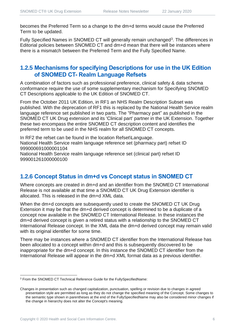becomes the Preferred Term so a change to the dm+d terms would cause the Preferred Term to be updated.

Fully Specified Names in SNOMED CT will generally remain unchanged<sup>3</sup>. The differences in Editorial policies between SNOMED CT and dm+d mean that there will be instances where there is a mismatch between the Preferred Term and the Fully Specified Name.

#### **1.2.5 Mechanisms for specifying Descriptions for use in the UK Edition of SNOMED CT- Realm Language Refsets**

A combination of factors such as professional preference, clinical safety & data schema conformance require the use of some supplementary mechanism for Specifying SNOMED CT Descriptions applicable to the UK Edition of SNOMED CT.

From the October 2011 UK Edition, in RF1 an NHS Realm Description Subset was published. With the deprecation of RF1 this is replaced by the National Health Service realm language reference set published in two parts. The "Pharmacy part" as published in the SNOMED CT UK Drug extension and its 'Clinical part' partner in the UK Extension. Together these two encompass the entire SNOMED CT description content and identifies the preferred term to be used in the NHS realm for all SNOMED CT concepts.

In RF2 the refset can be found in the location Refset\Language. National Health Service realm language reference set (pharmacy part) refset ID 999000691000001104 National Health Service realm language reference set (clinical part) refset ID 999001261000000100

#### **1.2.6 Concept Status in dm+d vs Concept status in SNOMED CT**

Where concepts are created in dm+d and an identifier from the SNOMED CT International Release is not available at that time a SNOMED CT UK Drug Extension identifier is allocated. This is released in the dm+d XML data.

When the dm+d concepts are subsequently used to create the SNOMED CT UK Drug Extension it may be that the dm+d derived concept is determined to be a duplicate of a concept now available in the SNOMED CT International Release. In these instances the dm+d derived concept is given a retired status with a relationship to the SNOMED CT International Release concept. In the XML data the dm+d derived concept may remain valid with its original identifier for some time.

There may be instances where a SNOMED CT identifier from the International Release has been allocated to a concept within dm+d and this is subsequently discovered to be inappropriate for the dm+d concept. In this instance the SNOMED CT identifier from the International Release will appear in the dm+d XML format data as a previous identifier.

<sup>&</sup>lt;sup>3</sup> From the SNOMED CT Technical Reference Guide for the FullySpecifiedName:

Changes in presentation such as changed capitalization, punctuation, spelling or revision due to changes in agreed presentation style are permitted as long as they do not change the specified meaning of the Concept. Some changes to the semantic type shown in parentheses at the end of the FullySpecifiedName may also be considered minor changes if the change in hierarchy does not alter the Concept's meaning.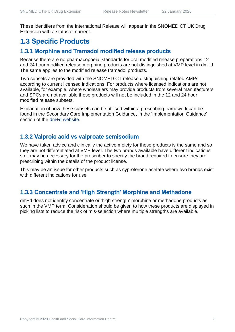These identifiers from the International Release will appear in the SNOMED CT UK Drug Extension with a status of current.

## **1.3 Specific Products**

### **1.3.1 Morphine and Tramadol modified release products**

Because there are no pharmacopoeial standards for oral modified release preparations 12 and 24 hour modified release morphine products are not distinguished at VMP level in dm+d. The same applies to the modified release tramadol products.

Two subsets are provided with the SNOMED CT release distinguishing related AMPs according to current licensed indications. For products where licensed indications are not available, for example, where wholesalers may provide products from several manufacturers and SPCs are not available these products will not be included in the 12 and 24 hour modified release subsets.

Explanation of how these subsets can be utilised within a prescribing framework can be found in the Secondary Care Implementation Guidance, in the 'Implementation Guidance' section of the [dm+d website.](https://www.nhsbsa.nhs.uk/pharmacies-gp-practices-and-appliance-contractors/dictionary-medicines-and-devices-dmd)

#### **1.3.2 Valproic acid vs valproate semisodium**

We have taken advice and clinically the active moiety for these products is the same and so they are not differentiated at VMP level. The two brands available have different indications so it may be necessary for the prescriber to specify the brand required to ensure they are prescribing within the details of the product license.

This may be an issue for other products such as cyproterone acetate where two brands exist with different indications for use.

#### **1.3.3 Concentrate and 'High Strength' Morphine and Methadone**

dm+d does not identify concentrate or 'high strength' morphine or methadone products as such in the VMP term. Consideration should be given to how these products are displayed in picking lists to reduce the risk of mis-selection where multiple strengths are available.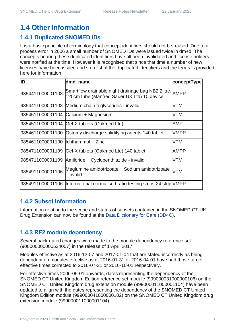## **1.4 Other Information**

## **1.4.1 Duplicated SNOMED IDs**

It is a basic principle of terminology that concept identifiers should not be reused. Due to a process error in 2006 a small number of SNOMED IDs were issued twice in dm+d. The concepts bearing these duplicated identifiers have all been invalidated and license holders were notified at the time. However it is recognised that since that time a number of new licenses have been issued and so a list of the duplicated identifiers and the terms is provided here for information.

| ID                                   | dmd name                                                                                               | conceptType |
|--------------------------------------|--------------------------------------------------------------------------------------------------------|-------------|
| 9854411000001103                     | Smartflow drainable night drainage bag NB2 2litre, AMPP<br>120cm tube (Manfred Sauer UK Ltd) 10 device |             |
|                                      | 9854411000001103 Medium chain triglycerides - invalid                                                  | VTM         |
|                                      | 9854511000001104 Calcium + Magnesium                                                                   | VTM         |
|                                      | 9854511000001104 Gel-X tablets (Oakmed Ltd)                                                            | AMP         |
|                                      | 9854611000001100 Ostomy discharge solidifying agents 140 tablet                                        | <b>VMPP</b> |
| 9854611000001100   Ichthammol + Zinc |                                                                                                        | VTM         |
| 9854711000001109                     | Gel-X tablets (Oakmed Ltd) 140 tablet                                                                  | AMPP        |
| 9854711000001109                     | Amiloride + Cyclopenthiazide - invalid                                                                 | VTM         |
| 9854911000001106                     | Meglumine amidotrizoate + Sodium amidotrizoate<br>- invalid                                            | <b>VTM</b>  |
|                                      | 9854911000001106  International normalised ratio testing strips 24 strip VMPP                          |             |

#### **1.4.2 Subset Information**

Information relating to the scope and status of subsets contained in the SNOMED CT UK Drug Extension can now be found at the [Data Dictionary for Care \(DD4C\).](https://dd4c.digital.nhs.uk/dd4c/)

#### **1.4.3 RF2 module dependency**

Several back-dated changes were made to the module dependency reference set (900000000000534007) in the release of 1 April 2017.

Modules effective as at 2016-12-07 and 2017-01-04 that are stated incorrectly as being dependent on modules effective as at 2016-01-31 or 2016-04-01 have had those target effective times corrected to 2016-07-31 or 2016-10-01 respectively.

For effective times 2006-05-01 onwards, dates representing the dependency of the SNOMED CT United Kingdom Edition reference set module (999000031000000106) on the SNOMED CT United Kingdom drug extension module (999000011000001104) have been updated to align with the dates representing the dependency of the SNOMED CT United Kingdom Edition module (999000041000000102) on the SNOMED CT United Kingdom drug extension module (999000011000001104).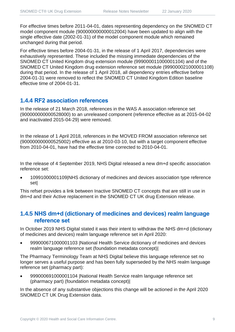For effective times before 2011-04-01, dates representing dependency on the SNOMED CT model component module (900000000000012004) have been updated to align with the single effective date (2002-01-31) of the model component module which remained unchanged during that period.

For effective times before 2004-01-31, in the release of 1 April 2017, dependencies were exhaustively represented. These included the missing immediate dependencies of the SNOMED CT United Kingdom drug extension module (999000011000001104) and of the SNOMED CT United Kingdom drug extension reference set module (999000021000001108) during that period. In the release of 1 April 2018, all dependency entries effective before 2004-01-31 were removed to reflect the SNOMED CT United Kingdom Edition baseline effective time of 2004-01-31.

#### **1.4.4 RF2 association references**

In the release of 21 March 2018, references in the WAS A association reference set (900000000000528000) to an unreleased component (reference effective as at 2015-04-02 and inactivated 2015-04-29) were removed.

In the release of 1 April 2018, references in the MOVED FROM association reference set (900000000000525002) effective as at 2010-03-10, but with a target component effective from 2010-04-01, have had the effective time corrected to 2010-04-01.

In the release of 4 September 2019, NHS Digital released a new dm+d specific association reference set:

• 10991000001109|NHS dictionary of medicines and devices association type reference set|

This refset provides a link between Inactive SNOMED CT concepts that are still in use in dm+d and their Active replacement in the SNOMED CT UK drug Extension release.

#### **1.4.5 NHS dm+d (dictionary of medicines and devices) realm language reference set**

In October 2019 NHS Digital stated it was their intent to withdraw the NHS dm+d (dictionary of medicines and devices) realm language reference set in April 2020:

• 999000671000001103 |National Health Service dictionary of medicines and devices realm language reference set (foundation metadata concept)|

The Pharmacy Terminology Team at NHS Digital believe this language reference set no longer serves a useful purpose and has been fully superseded by the NHS realm language reference set (pharmacy part):

• 999000691000001104 |National Health Service realm language reference set (pharmacy part) (foundation metadata concept)|

In the absence of any substantive objections this change will be actioned in the April 2020 SNOMED CT UK Drug Extension data.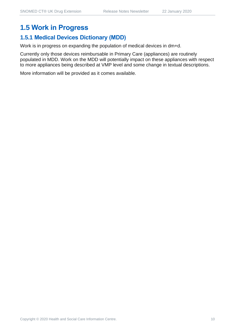## **1.5 Work in Progress**

#### **1.5.1 Medical Devices Dictionary (MDD)**

Work is in progress on expanding the population of medical devices in dm+d.

Currently only those devices reimbursable in Primary Care (appliances) are routinely populated in MDD. Work on the MDD will potentially impact on these appliances with respect to more appliances being described at VMP level and some change in textual descriptions.

More information will be provided as it comes available.